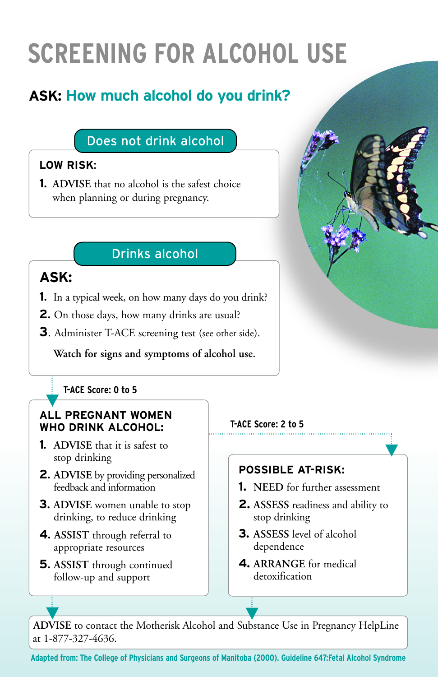# **SCREENING FOR ALCOHOL USE**

# **ASK: How much alcohol do you drink?**

### Does not drink alcohol

#### **LOW RISK**:

**1**. **ADVISE** that no alcohol is the safest choice when planning or during pregnancy.

### Drinks alcohol

## **ASK:**

- **1**. In a typical week, on how many days do you drink?
- **2**. On those days, how many drinks are usual?
- **3**. Administer T-ACE screening test (see other side).

#### **Watch for signs and symptoms of alcohol use.**

#### **T-ACE Score: 0 to 5**

#### **ALL PREGNANT WOMEN WHO DRINK ALCOHOL:**

- **1**. **ADVISE** that it is safest to stop drinking
- **2**. **ADVISE** by providing personalized feedback and information
- **3**. **ADVISE** women unable to stop drinking, to reduce drinking
- **4**. **ASSIST** through referral to appropriate resources
- **5**. **ASSIST** through continued follow-up and support

#### **T-ACE Score: 2 to 5**

#### **POSSIBLE AT-RISK:**

- **1. NEED** for further assessment
- **2. ASSESS** readiness and ability to stop drinking
- **3. ASSESS** level of alcohol dependence
- **4. ARRANGE** for medical detoxification

**ADVISE** to contact the Motherisk Alcohol and Substance Use in Pregnancy HelpLine at 1-877-327-4636.

**Adapted from: The College of Physicians and Surgeons of Manitoba (2000). Guideline 647:Fetal Alcohol Syndrome**